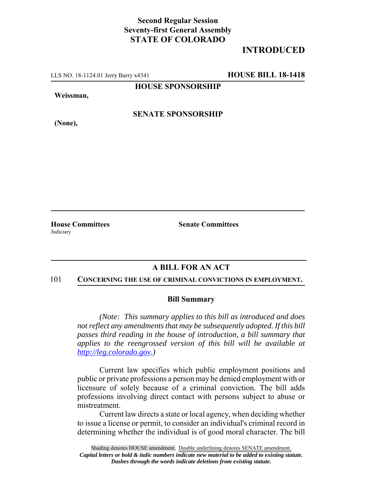## **Second Regular Session Seventy-first General Assembly STATE OF COLORADO**

# **INTRODUCED**

LLS NO. 18-1124.01 Jerry Barry x4341 **HOUSE BILL 18-1418**

**HOUSE SPONSORSHIP**

**Weissman,**

**(None),**

**SENATE SPONSORSHIP**

**Judiciary** 

**House Committees Senate Committees** 

## **A BILL FOR AN ACT**

#### 101 **CONCERNING THE USE OF CRIMINAL CONVICTIONS IN EMPLOYMENT.**

### **Bill Summary**

*(Note: This summary applies to this bill as introduced and does not reflect any amendments that may be subsequently adopted. If this bill passes third reading in the house of introduction, a bill summary that applies to the reengrossed version of this bill will be available at http://leg.colorado.gov.)*

Current law specifies which public employment positions and public or private professions a person may be denied employment with or licensure of solely because of a criminal conviction. The bill adds professions involving direct contact with persons subject to abuse or mistreatment.

Current law directs a state or local agency, when deciding whether to issue a license or permit, to consider an individual's criminal record in determining whether the individual is of good moral character. The bill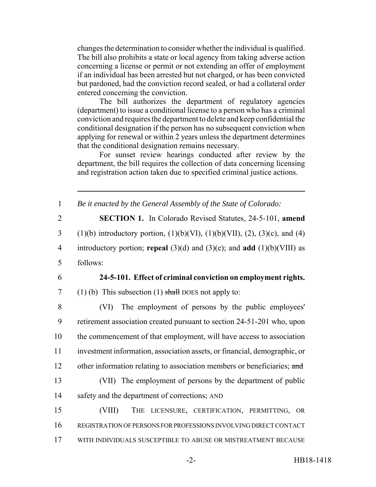changes the determination to consider whether the individual is qualified. The bill also prohibits a state or local agency from taking adverse action concerning a license or permit or not extending an offer of employment if an individual has been arrested but not charged, or has been convicted but pardoned, had the conviction record sealed, or had a collateral order entered concerning the conviction.

The bill authorizes the department of regulatory agencies (department) to issue a conditional license to a person who has a criminal conviction and requires the department to delete and keep confidential the conditional designation if the person has no subsequent conviction when applying for renewal or within 2 years unless the department determines that the conditional designation remains necessary.

For sunset review hearings conducted after review by the department, the bill requires the collection of data concerning licensing and registration action taken due to specified criminal justice actions.

 *Be it enacted by the General Assembly of the State of Colorado:* **SECTION 1.** In Colorado Revised Statutes, 24-5-101, **amend** 3 (1)(b) introductory portion,  $(1)(b)(VI)$ ,  $(1)(b)(VII)$ ,  $(2)$ ,  $(3)(c)$ , and  $(4)$  introductory portion; **repeal** (3)(d) and (3)(e); and **add** (1)(b)(VIII) as 5 follows: **24-5-101. Effect of criminal conviction on employment rights.** 7 (1) (b) This subsection (1) shall DOES not apply to: (VI) The employment of persons by the public employees' retirement association created pursuant to section 24-51-201 who, upon the commencement of that employment, will have access to association investment information, association assets, or financial, demographic, or 12 other information relating to association members or beneficiaries; and (VII) The employment of persons by the department of public safety and the department of corrections; AND (VIII) THE LICENSURE, CERTIFICATION, PERMITTING, OR REGISTRATION OF PERSONS FOR PROFESSIONS INVOLVING DIRECT CONTACT

17 WITH INDIVIDUALS SUSCEPTIBLE TO ABUSE OR MISTREATMENT BECAUSE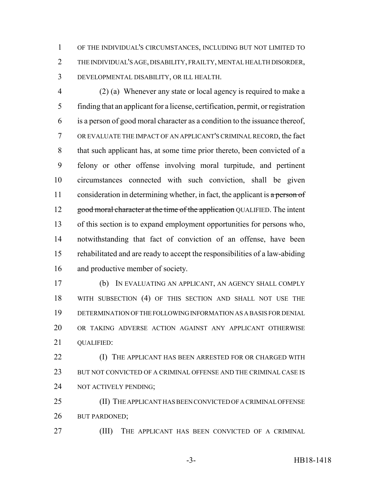OF THE INDIVIDUAL'S CIRCUMSTANCES, INCLUDING BUT NOT LIMITED TO THE INDIVIDUAL'S AGE, DISABILITY, FRAILTY, MENTAL HEALTH DISORDER, DEVELOPMENTAL DISABILITY, OR ILL HEALTH.

 (2) (a) Whenever any state or local agency is required to make a finding that an applicant for a license, certification, permit, or registration is a person of good moral character as a condition to the issuance thereof, OR EVALUATE THE IMPACT OF AN APPLICANT'S CRIMINAL RECORD, the fact that such applicant has, at some time prior thereto, been convicted of a felony or other offense involving moral turpitude, and pertinent circumstances connected with such conviction, shall be given 11 consideration in determining whether, in fact, the applicant is  $\alpha$  person of 12 good moral character at the time of the application QUALIFIED. The intent of this section is to expand employment opportunities for persons who, notwithstanding that fact of conviction of an offense, have been rehabilitated and are ready to accept the responsibilities of a law-abiding and productive member of society.

 (b) IN EVALUATING AN APPLICANT, AN AGENCY SHALL COMPLY WITH SUBSECTION (4) OF THIS SECTION AND SHALL NOT USE THE DETERMINATION OF THE FOLLOWING INFORMATION AS A BASIS FOR DENIAL OR TAKING ADVERSE ACTION AGAINST ANY APPLICANT OTHERWISE 21 OUALIFIED:

 (I) THE APPLICANT HAS BEEN ARRESTED FOR OR CHARGED WITH BUT NOT CONVICTED OF A CRIMINAL OFFENSE AND THE CRIMINAL CASE IS NOT ACTIVELY PENDING;

 (II) THE APPLICANT HAS BEEN CONVICTED OF A CRIMINAL OFFENSE BUT PARDONED;

(III) THE APPLICANT HAS BEEN CONVICTED OF A CRIMINAL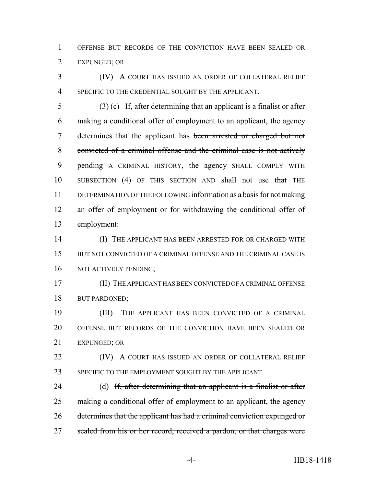OFFENSE BUT RECORDS OF THE CONVICTION HAVE BEEN SEALED OR EXPUNGED; OR

 (IV) A COURT HAS ISSUED AN ORDER OF COLLATERAL RELIEF SPECIFIC TO THE CREDENTIAL SOUGHT BY THE APPLICANT.

 (3) (c) If, after determining that an applicant is a finalist or after making a conditional offer of employment to an applicant, the agency determines that the applicant has been arrested or charged but not convicted of a criminal offense and the criminal case is not actively 9 pending A CRIMINAL HISTORY, the agency SHALL COMPLY WITH 10 SUBSECTION (4) OF THIS SECTION AND shall not use that THE DETERMINATION OF THE FOLLOWING information as a basis for not making an offer of employment or for withdrawing the conditional offer of employment:

 (I) THE APPLICANT HAS BEEN ARRESTED FOR OR CHARGED WITH 15 BUT NOT CONVICTED OF A CRIMINAL OFFENSE AND THE CRIMINAL CASE IS 16 NOT ACTIVELY PENDING;

 (II) THE APPLICANT HAS BEEN CONVICTED OF A CRIMINAL OFFENSE BUT PARDONED;

 (III) THE APPLICANT HAS BEEN CONVICTED OF A CRIMINAL OFFENSE BUT RECORDS OF THE CONVICTION HAVE BEEN SEALED OR EXPUNGED; OR

**(IV)** A COURT HAS ISSUED AN ORDER OF COLLATERAL RELIEF 23 SPECIFIC TO THE EMPLOYMENT SOUGHT BY THE APPLICANT.

24 (d) If, after determining that an applicant is a finalist or after 25 making a conditional offer of employment to an applicant, the agency determines that the applicant has had a criminal conviction expunged or 27 sealed from his or her record, received a pardon, or that charges were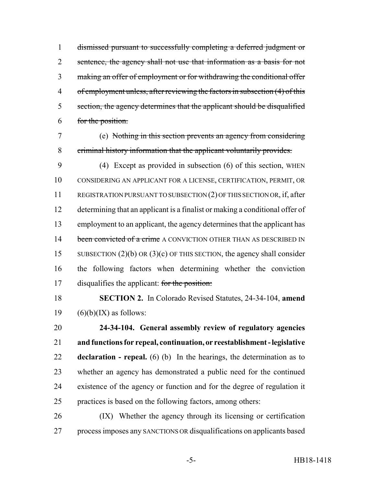dismissed pursuant to successfully completing a deferred judgment or 2 sentence, the agency shall not use that information as a basis for not making an offer of employment or for withdrawing the conditional offer of employment unless, after reviewing the factors in subsection (4) of this section, the agency determines that the applicant should be disqualified for the position.

 (e) Nothing in this section prevents an agency from considering criminal history information that the applicant voluntarily provides.

 (4) Except as provided in subsection (6) of this section, WHEN CONSIDERING AN APPLICANT FOR A LICENSE, CERTIFICATION, PERMIT, OR REGISTRATION PURSUANT TO SUBSECTION (2) OF THIS SECTION OR, if, after determining that an applicant is a finalist or making a conditional offer of employment to an applicant, the agency determines that the applicant has 14 been convicted of a crime A CONVICTION OTHER THAN AS DESCRIBED IN 15 SUBSECTION (2)(b) OR (3)(c) OF THIS SECTION, the agency shall consider the following factors when determining whether the conviction 17 disqualifies the applicant: for the position:

 **SECTION 2.** In Colorado Revised Statutes, 24-34-104, **amend** 19  $(6)(b)(IX)$  as follows:

 **24-34-104. General assembly review of regulatory agencies and functions for repeal, continuation, or reestablishment - legislative declaration - repeal.** (6) (b) In the hearings, the determination as to whether an agency has demonstrated a public need for the continued existence of the agency or function and for the degree of regulation it practices is based on the following factors, among others:

 (IX) Whether the agency through its licensing or certification process imposes any SANCTIONS OR disqualifications on applicants based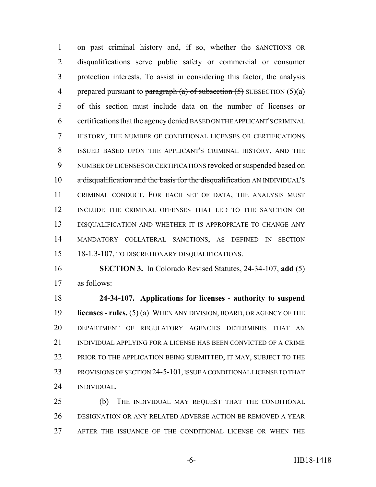on past criminal history and, if so, whether the SANCTIONS OR disqualifications serve public safety or commercial or consumer protection interests. To assist in considering this factor, the analysis 4 prepared pursuant to paragraph (a) of subsection  $(5)$  SUBSECTION  $(5)(a)$  of this section must include data on the number of licenses or certifications that the agency denied BASED ON THE APPLICANT'S CRIMINAL HISTORY, THE NUMBER OF CONDITIONAL LICENSES OR CERTIFICATIONS ISSUED BASED UPON THE APPLICANT'S CRIMINAL HISTORY, AND THE NUMBER OF LICENSES OR CERTIFICATIONS revoked or suspended based on 10 a disqualification and the basis for the disqualification AN INDIVIDUAL'S CRIMINAL CONDUCT. FOR EACH SET OF DATA, THE ANALYSIS MUST INCLUDE THE CRIMINAL OFFENSES THAT LED TO THE SANCTION OR DISQUALIFICATION AND WHETHER IT IS APPROPRIATE TO CHANGE ANY MANDATORY COLLATERAL SANCTIONS, AS DEFINED IN SECTION 18-1.3-107, TO DISCRETIONARY DISQUALIFICATIONS.

 **SECTION 3.** In Colorado Revised Statutes, 24-34-107, **add** (5) as follows:

 **24-34-107. Applications for licenses - authority to suspend licenses - rules.** (5) (a) WHEN ANY DIVISION, BOARD, OR AGENCY OF THE DEPARTMENT OF REGULATORY AGENCIES DETERMINES THAT AN INDIVIDUAL APPLYING FOR A LICENSE HAS BEEN CONVICTED OF A CRIME 22 PRIOR TO THE APPLICATION BEING SUBMITTED, IT MAY, SUBJECT TO THE PROVISIONS OF SECTION 24-5-101, ISSUE A CONDITIONAL LICENSE TO THAT INDIVIDUAL.

 (b) THE INDIVIDUAL MAY REQUEST THAT THE CONDITIONAL DESIGNATION OR ANY RELATED ADVERSE ACTION BE REMOVED A YEAR AFTER THE ISSUANCE OF THE CONDITIONAL LICENSE OR WHEN THE